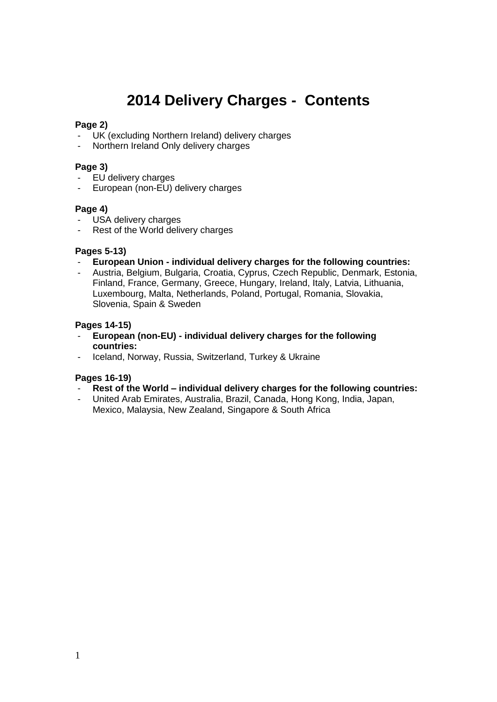# **2014 Delivery Charges - Contents**

# **Page 2)**

- UK (excluding Northern Ireland) delivery charges
- Northern Ireland Only delivery charges

# **Page 3)**

- EU delivery charges
- European (non-EU) delivery charges

# **Page 4)**

- USA delivery charges
- Rest of the World delivery charges

# **Pages 5-13)**

# - **European Union - individual delivery charges for the following countries:**

- Austria, Belgium, Bulgaria, Croatia, Cyprus, Czech Republic, Denmark, Estonia, Finland, France, Germany, Greece, Hungary, Ireland, Italy, Latvia, Lithuania, Luxembourg, Malta, Netherlands, Poland, Portugal, Romania, Slovakia, Slovenia, Spain & Sweden

# **Pages 14-15)**

- **European (non-EU) - individual delivery charges for the following countries:**
- Iceland, Norway, Russia, Switzerland, Turkey & Ukraine

# **Pages 16-19)**

- **Rest of the World – individual delivery charges for the following countries:**
- United Arab Emirates, Australia, Brazil, Canada, Hong Kong, India, Japan, Mexico, Malaysia, New Zealand, Singapore & South Africa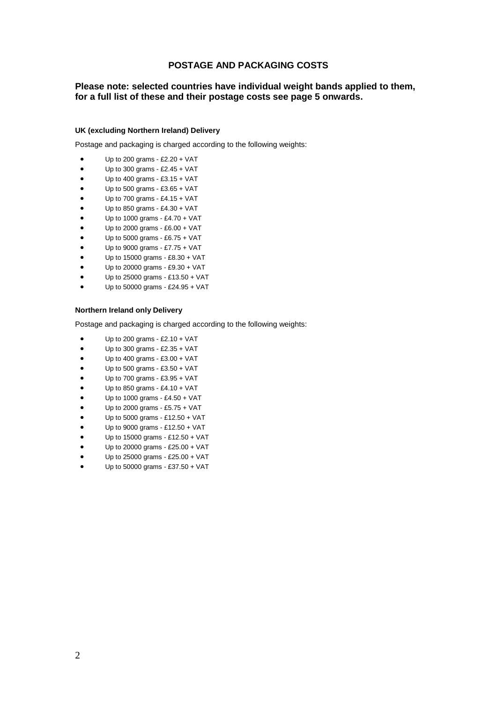# **POSTAGE AND PACKAGING COSTS**

# **Please note: selected countries have individual weight bands applied to them, for a full list of these and their postage costs see page 5 onwards.**

#### **UK (excluding Northern Ireland) Delivery**

Postage and packaging is charged according to the following weights:

- Up to 200 grams £2.20 + VAT
- Up to 300 grams £2.45 + VAT
- $\bullet$  Up to 400 grams £3.15 + VAT
- Up to 500 grams £3.65 + VAT
- Up to 700 grams £4.15 + VAT
- Up to 850 grams £4.30 + VAT
- Up to 1000 grams £4.70 + VAT
- Up to 2000 grams £6.00 + VAT
- Up to 5000 grams £6.75 + VAT
- Up to 9000 grams £7.75 + VAT
- Up to 15000 grams £8.30 + VAT
- Up to 20000 grams £9.30 + VAT
- Up to 25000 grams £13.50 + VAT Up to 50000 grams - £24.95 + VAT
- 

#### **Northern Ireland only Delivery**

- Up to 200 grams £2.10 + VAT
- Up to 300 grams £2.35 + VAT
- Up to 400 grams £3.00 + VAT
- Up to 500 grams £3.50 + VAT
- Up to 700 grams £3.95 + VAT
- Up to 850 grams £4.10 + VAT
- Up to 1000 grams £4.50 + VAT
- Up to 2000 grams £5.75 + VAT
- Up to 5000 grams £12.50 + VAT
- Up to 9000 grams £12.50 + VAT
- Up to 15000 grams £12.50 + VAT
- Up to 20000 grams £25.00 + VAT
- Up to 25000 grams £25.00 + VAT
- Up to 50000 grams £37.50 + VAT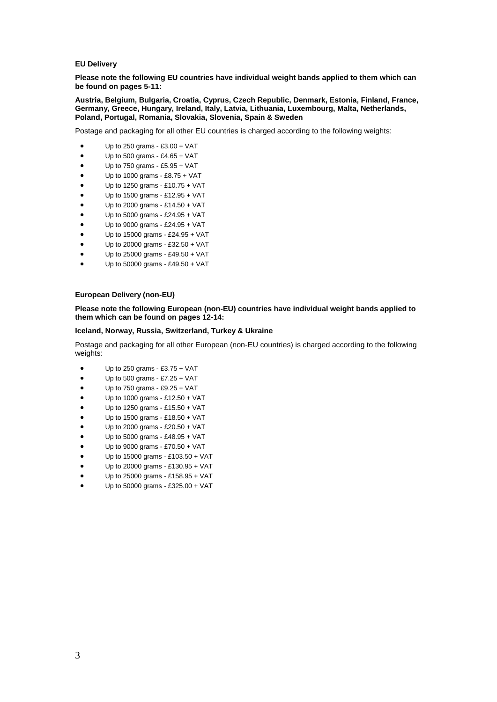#### **EU Delivery**

**Please note the following EU countries have individual weight bands applied to them which can be found on pages 5-11:**

**Austria, Belgium, Bulgaria, Croatia, Cyprus, Czech Republic, Denmark, Estonia, Finland, France, Germany, Greece, Hungary, Ireland, Italy, Latvia, Lithuania, Luxembourg, Malta, Netherlands, Poland, Portugal, Romania, Slovakia, Slovenia, Spain & Sweden**

Postage and packaging for all other EU countries is charged according to the following weights:

- Up to 250 grams £3.00 + VAT
- $\bullet$  Up to 500 grams £4.65 + VAT
- $\bullet$  Up to 750 grams £5.95 + VAT
- Up to 1000 grams £8.75 + VAT
- Up to 1250 grams £10.75 + VAT
- Up to 1500 grams £12.95 + VAT
- Up to 2000 grams £14.50 + VAT
- Up to 5000 grams £24.95 + VAT
- Up to 9000 grams £24.95 + VAT
- Up to 15000 grams £24.95 + VAT
- Up to 20000 grams £32.50 + VAT
- Up to 25000 grams £49.50 + VAT
- Up to 50000 grams £49.50 + VAT

#### **European Delivery (non-EU)**

#### **Please note the following European (non-EU) countries have individual weight bands applied to them which can be found on pages 12-14:**

#### **Iceland, Norway, Russia, Switzerland, Turkey & Ukraine**

Postage and packaging for all other European (non-EU countries) is charged according to the following weights:

- $\bullet$  Up to 250 grams £3.75 + VAT
- $\bullet$  Up to 500 grams £7.25 + VAT
- Up to 750 grams £9.25 + VAT
- Up to 1000 grams £12.50 + VAT
- Up to 1250 grams £15.50 + VAT
- Up to 1500 grams £18.50 + VAT
- Up to 2000 grams £20.50 + VAT
- Up to 5000 grams £48.95 + VAT
- Up to 9000 grams £70.50 + VAT
- Up to 15000 grams £103.50 + VAT
- Up to 20000 grams £130.95 + VAT
- Up to 25000 grams £158.95 + VAT
- Up to 50000 grams £325.00 + VAT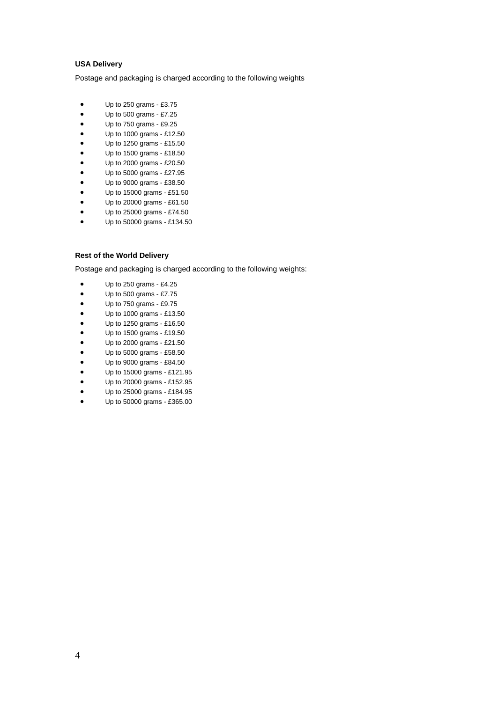## **USA Delivery**

Postage and packaging is charged according to the following weights

- Up to 250 grams £3.75
- Up to 500 grams £7.25
- Up to 750 grams £9.25
- Up to 1000 grams £12.50
- Up to 1250 grams £15.50
- Up to 1500 grams £18.50
- Up to 2000 grams £20.50
- Up to 5000 grams £27.95
- Up to 9000 grams £38.50
- Up to 15000 grams £51.50
- Up to 20000 grams £61.50
- Up to 25000 grams £74.50
- Up to 50000 grams £134.50

## **Rest of the World Delivery**

- $\bullet$  Up to 250 grams £4.25
- Up to 500 grams £7.75
- Up to 750 grams £9.75
- Up to 1000 grams £13.50
- $\bullet$  Up to 1250 grams £16.50
- Up to 1500 grams £19.50
- Up to 2000 grams £21.50
- Up to 5000 grams £58.50
- Up to 9000 grams £84.50
- Up to 15000 grams £121.95
- Up to 20000 grams £152.95
- Up to 25000 grams £184.95
- Up to 50000 grams £365.00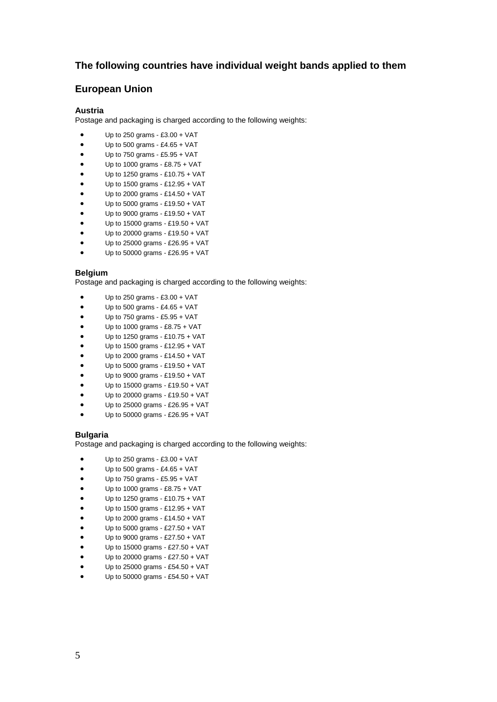# **The following countries have individual weight bands applied to them**

# **European Union**

#### **Austria**

Postage and packaging is charged according to the following weights:

- $\bullet$  Up to 250 grams £3.00 + VAT
- $\bullet$  Up to 500 grams £4.65 + VAT
- Up to 750 grams £5.95 + VAT
- $\bullet$  Up to 1000 grams £8.75 + VAT
- Up to 1250 grams £10.75 + VAT
- Up to 1500 grams £12.95 + VAT
- Up to 2000 grams £14.50 + VAT
- Up to 5000 grams £19.50 + VAT
- Up to 9000 grams £19.50 + VAT
- Up to 15000 grams £19.50 + VAT
- Up to 20000 grams £19.50 + VAT
- Up to 25000 grams £26.95 + VAT
- Up to 50000 grams £26.95 + VAT

## **Belgium**

Postage and packaging is charged according to the following weights:

- Up to 250 grams £3.00 + VAT
- $\bullet$  Up to 500 grams £4.65 + VAT
- Up to 750 grams £5.95 + VAT
- Up to 1000 grams £8.75 + VAT
- Up to 1250 grams £10.75 + VAT
- Up to 1500 grams £12.95 + VAT
- Up to 2000 grams £14.50 + VAT
- Up to 5000 grams £19.50 + VAT
- Up to 9000 grams £19.50 + VAT
- Up to 15000 grams £19.50 + VAT
- Up to 20000 grams £19.50 + VAT
- Up to 25000 grams £26.95 + VAT
- Up to 50000 grams £26.95 + VAT

#### **Bulgaria**

- Up to 250 grams £3.00 + VAT
- $\bullet$  Up to 500 grams £4.65 + VAT
- Up to 750 grams £5.95 + VAT
- Up to 1000 grams £8.75 + VAT
- Up to 1250 grams £10.75 + VAT
- Up to 1500 grams £12.95 + VAT
- Up to 2000 grams £14.50 + VAT
- Up to 5000 grams £27.50 + VAT
- Up to 9000 grams £27.50 + VAT
- Up to 15000 grams £27.50 + VAT
- Up to 20000 grams £27.50 + VAT
- Up to 25000 grams £54.50 + VAT
- Up to 50000 grams £54.50 + VAT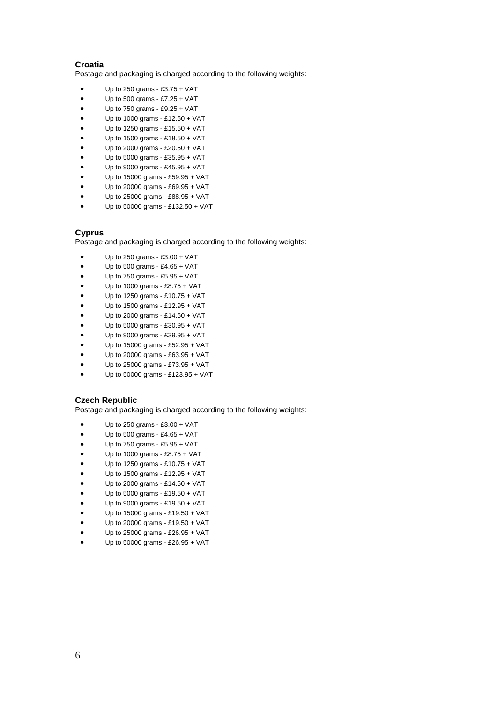## **Croatia**

Postage and packaging is charged according to the following weights:

- Up to 250 grams £3.75 + VAT
- $\bullet$  Up to 500 grams £7.25 + VAT
- $\bullet$  Up to 750 grams £9.25 + VAT
- Up to 1000 grams £12.50 + VAT
- Up to 1250 grams £15.50 + VAT
- Up to 1500 grams £18.50 + VAT
- Up to 2000 grams £20.50 + VAT
- Up to 5000 grams £35.95 + VAT
- Up to 9000 grams £45.95 + VAT
- Up to 15000 grams £59.95 + VAT
- Up to 20000 grams £69.95 + VAT
- Up to 25000 grams £88.95 + VAT
- Up to 50000 grams £132.50 + VAT

## **Cyprus**

Postage and packaging is charged according to the following weights:

- Up to 250 grams £3.00 + VAT
- $\bullet$  Up to 500 grams £4.65 + VAT
- $\bullet$  Up to 750 grams £5.95 + VAT
- Up to 1000 grams £8.75 + VAT
- Up to 1250 grams £10.75 + VAT
- Up to 1500 grams £12.95 + VAT
- Up to 2000 grams £14.50 + VAT
- Up to 5000 grams £30.95 + VAT
- Up to 9000 grams £39.95 + VAT
- Up to 15000 grams £52.95 + VAT
- Up to 20000 grams £63.95 + VAT
- Up to 25000 grams £73.95 + VAT
- Up to 50000 grams £123.95 + VAT

#### **Czech Republic**

- Up to 250 grams £3.00 + VAT
- $\bullet$  Up to 500 grams £4.65 + VAT
- Up to 750 grams £5.95 + VAT
- Up to 1000 grams £8.75 + VAT
- Up to 1250 grams £10.75 + VAT
- Up to 1500 grams £12.95 + VAT
- Up to 2000 grams £14.50 + VAT
- Up to 5000 grams £19.50 + VAT
- Up to 9000 grams £19.50 + VAT
- Up to 15000 grams £19.50 + VAT
- Up to 20000 grams £19.50 + VAT
- Up to 25000 grams £26.95 + VAT
- Up to 50000 grams £26.95 + VAT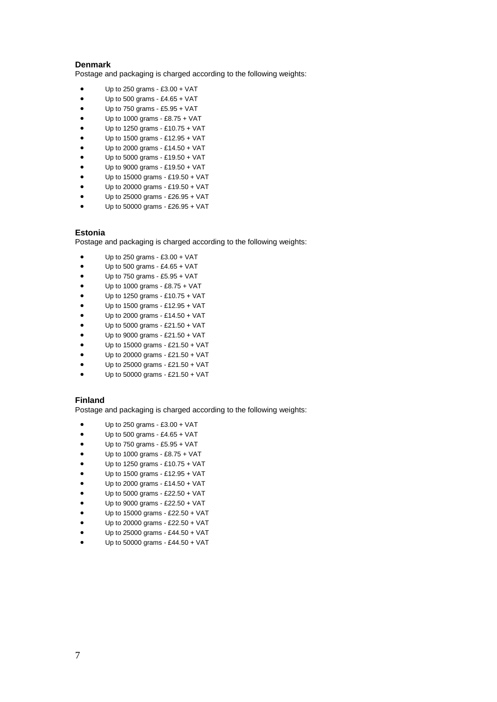## **Denmark**

Postage and packaging is charged according to the following weights:

- Up to 250 grams £3.00 + VAT
- $\bullet$  Up to 500 grams £4.65 + VAT
- Up to 750 grams £5.95 + VAT
- Up to 1000 grams £8.75 + VAT
- Up to 1250 grams £10.75 + VAT
- Up to 1500 grams £12.95 + VAT
- Up to 2000 grams £14.50 + VAT
- Up to 5000 grams £19.50 + VAT
- Up to 9000 grams £19.50 + VAT
- Up to 15000 grams £19.50 + VAT
- Up to 20000 grams £19.50 + VAT
- $\bullet$  Up to 25000 grams £26.95 + VAT
- Up to 50000 grams £26.95 + VAT

## **Estonia**

Postage and packaging is charged according to the following weights:

- Up to 250 grams £3.00 + VAT
- $\bullet$  Up to 500 grams £4.65 + VAT
- $\bullet$  Up to 750 grams £5.95 + VAT
- Up to 1000 grams £8.75 + VAT
- Up to 1250 grams £10.75 + VAT
- Up to 1500 grams £12.95 + VAT
- Up to 2000 grams £14.50 + VAT
- Up to 5000 grams £21.50 + VAT
- Up to 9000 grams £21.50 + VAT
- Up to 15000 grams £21.50 + VAT
- Up to 20000 grams £21.50 + VAT
- Up to 25000 grams £21.50 + VAT
- Up to 50000 grams £21.50 + VAT

#### **Finland**

- $\bullet$  Up to 250 grams £3.00 + VAT
- $\bullet$  Up to 500 grams £4.65 + VAT
- $\bullet$  Up to 750 grams £5.95 + VAT
- Up to 1000 grams £8.75 + VAT
- Up to 1250 grams £10.75 + VAT
- Up to 1500 grams £12.95 + VAT
- Up to 2000 grams £14.50 + VAT
- Up to 5000 grams £22.50 + VAT
- Up to 9000 grams £22.50 + VAT
- Up to 15000 grams £22.50 + VAT
- Up to 20000 grams £22.50 + VAT
- Up to 25000 grams £44.50 + VAT
- Up to 50000 grams £44.50 + VAT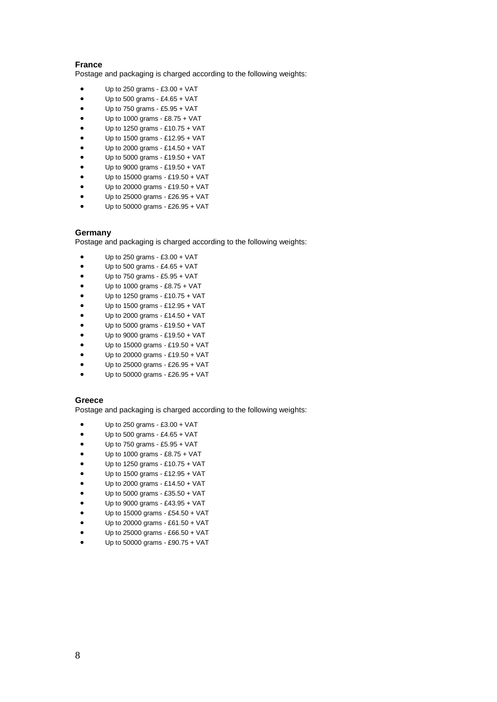## **France**

Postage and packaging is charged according to the following weights:

- Up to 250 grams £3.00 + VAT
- $\bullet$  Up to 500 grams £4.65 + VAT
- Up to 750 grams £5.95 + VAT
- Up to 1000 grams £8.75 + VAT
- Up to 1250 grams £10.75 + VAT
- Up to 1500 grams £12.95 + VAT
- Up to 2000 grams £14.50 + VAT
- Up to 5000 grams £19.50 + VAT
- Up to 9000 grams £19.50 + VAT
- Up to 15000 grams £19.50 + VAT
- Up to 20000 grams £19.50 + VAT
- $\bullet$  Up to 25000 grams £26.95 + VAT
- Up to 50000 grams £26.95 + VAT

#### **Germany**

Postage and packaging is charged according to the following weights:

- Up to 250 grams £3.00 + VAT
- $\bullet$  Up to 500 grams £4.65 + VAT
- $\bullet$  Up to 750 grams £5.95 + VAT
- Up to 1000 grams £8.75 + VAT
- Up to 1250 grams £10.75 + VAT
- Up to 1500 grams £12.95 + VAT
- Up to 2000 grams £14.50 + VAT
- Up to 5000 grams £19.50 + VAT
- Up to 9000 grams £19.50 + VAT
- Up to 15000 grams £19.50 + VAT
- Up to 20000 grams £19.50 + VAT
- Up to 25000 grams £26.95 + VAT
- Up to 50000 grams £26.95 + VAT

#### **Greece**

- $\bullet$  Up to 250 grams £3.00 + VAT
- $\bullet$  Up to 500 grams £4.65 + VAT
- $\bullet$  Up to 750 grams £5.95 + VAT
- Up to 1000 grams £8.75 + VAT
- Up to 1250 grams £10.75 + VAT
- Up to 1500 grams £12.95 + VAT
- Up to 2000 grams £14.50 + VAT
- Up to 5000 grams £35.50 + VAT
- Up to 9000 grams £43.95 + VAT
- Up to 15000 grams £54.50 + VAT
- Up to 20000 grams £61.50 + VAT
- Up to 25000 grams £66.50 + VAT
- Up to 50000 grams £90.75 + VAT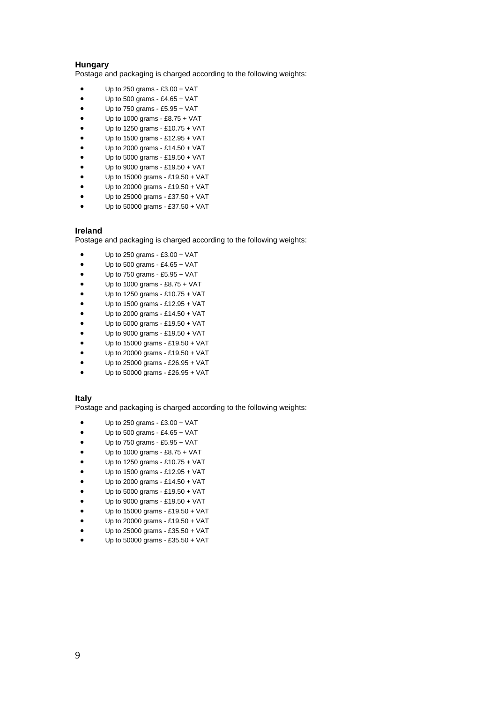#### **Hungary**

Postage and packaging is charged according to the following weights:

- Up to 250 grams £3.00 + VAT
- $\bullet$  Up to 500 grams £4.65 + VAT
- Up to 750 grams £5.95 + VAT
- Up to 1000 grams £8.75 + VAT
- Up to 1250 grams £10.75 + VAT
- Up to 1500 grams £12.95 + VAT
- Up to 2000 grams £14.50 + VAT
- Up to 5000 grams £19.50 + VAT
- Up to 9000 grams £19.50 + VAT
- Up to 15000 grams £19.50 + VAT
- Up to 20000 grams £19.50 + VAT
- $\bullet$  Up to 25000 grams £37.50 + VAT
- Up to 50000 grams £37.50 + VAT

#### **Ireland**

Postage and packaging is charged according to the following weights:

- Up to 250 grams £3.00 + VAT
- Up to 500 grams £4.65 + VAT
- Up to 750 grams £5.95 + VAT
- Up to 1000 grams £8.75 + VAT
- Up to 1250 grams £10.75 + VAT
- Up to 1500 grams £12.95 + VAT
- Up to 2000 grams £14.50 + VAT
- Up to 5000 grams £19.50 + VAT
- Up to 9000 grams £19.50 + VAT
- Up to 15000 grams £19.50 + VAT
- Up to 20000 grams £19.50 + VAT
- Up to 25000 grams £26.95 + VAT
- Up to 50000 grams £26.95 + VAT

## **Italy**

- $\bullet$  Up to 250 grams £3.00 + VAT
- $\bullet$  Up to 500 grams £4.65 + VAT
- Up to 750 grams £5.95 + VAT
- Up to 1000 grams £8.75 + VAT
- Up to 1250 grams £10.75 + VAT
- Up to 1500 grams £12.95 + VAT
- Up to 2000 grams £14.50 + VAT
- Up to 5000 grams £19.50 + VAT
- Up to 9000 grams £19.50 + VAT
- Up to 15000 grams £19.50 + VAT
- Up to 20000 grams £19.50 + VAT
- Up to 25000 grams £35.50 + VAT
- Up to 50000 grams £35.50 + VAT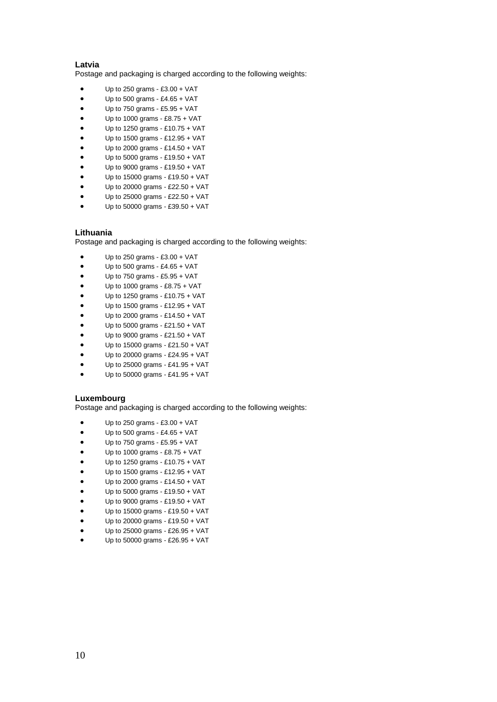## **Latvia**

Postage and packaging is charged according to the following weights:

- Up to 250 grams £3.00 + VAT
- $\bullet$  Up to 500 grams £4.65 + VAT
- Up to 750 grams £5.95 + VAT
- Up to 1000 grams £8.75 + VAT
- Up to 1250 grams £10.75 + VAT
- Up to 1500 grams £12.95 + VAT
- Up to 2000 grams £14.50 + VAT
- Up to 5000 grams £19.50 + VAT
- Up to 9000 grams £19.50 + VAT
- Up to 15000 grams £19.50 + VAT
- Up to 20000 grams £22.50 + VAT
- $\bullet$  Up to 25000 grams £22.50 + VAT
- Up to 50000 grams £39.50 + VAT

## **Lithuania**

Postage and packaging is charged according to the following weights:

- Up to 250 grams £3.00 + VAT
- $\bullet$  Up to 500 grams £4.65 + VAT
- $\bullet$  Up to 750 grams £5.95 + VAT
- Up to 1000 grams £8.75 + VAT
- Up to 1250 grams £10.75 + VAT
- Up to 1500 grams £12.95 + VAT
- Up to 2000 grams £14.50 + VAT
- Up to 5000 grams £21.50 + VAT
- Up to 9000 grams £21.50 + VAT
- Up to 15000 grams £21.50 + VAT
- Up to 20000 grams £24.95 + VAT
- Up to 25000 grams £41.95 + VAT
- Up to 50000 grams £41.95 + VAT

#### **Luxembourg**

- Up to 250 grams £3.00 + VAT
- Up to 500 grams £4.65 + VAT
- Up to 750 grams £5.95 + VAT
- Up to 1000 grams £8.75 + VAT
- Up to 1250 grams £10.75 + VAT
- Up to 1500 grams £12.95 + VAT
- Up to 2000 grams £14.50 + VAT
- Up to 5000 grams £19.50 + VAT
- Up to 9000 grams £19.50 + VAT
- Up to 15000 grams £19.50 + VAT
- Up to 20000 grams £19.50 + VAT
- Up to 25000 grams £26.95 + VAT
- Up to 50000 grams £26.95 + VAT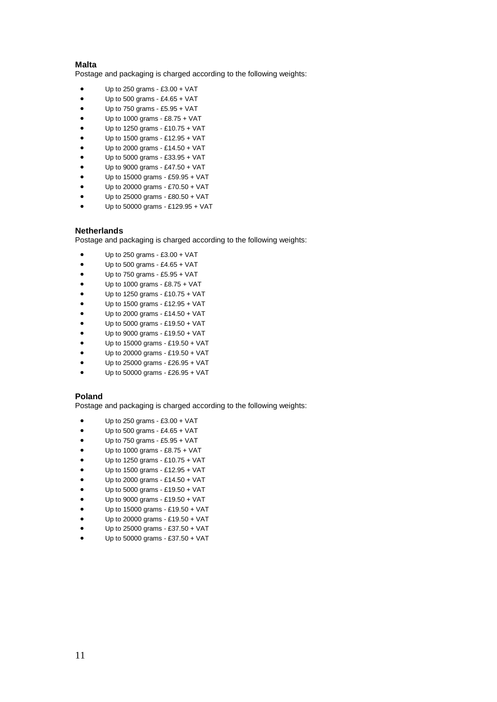## **Malta**

Postage and packaging is charged according to the following weights:

- Up to 250 grams £3.00 + VAT
- $\bullet$  Up to 500 grams £4.65 + VAT
- Up to 750 grams £5.95 + VAT
- Up to 1000 grams £8.75 + VAT
- Up to 1250 grams £10.75 + VAT
- Up to 1500 grams £12.95 + VAT
- Up to 2000 grams £14.50 + VAT
- Up to 5000 grams £33.95 + VAT
- Up to 9000 grams £47.50 + VAT
- Up to 15000 grams £59.95 + VAT
- Up to 20000 grams £70.50 + VAT
- $\bullet$  Up to 25000 grams £80.50 + VAT
- Up to 50000 grams £129.95 + VAT

#### **Netherlands**

Postage and packaging is charged according to the following weights:

- Up to 250 grams £3.00 + VAT
- Up to 500 grams £4.65 + VAT
- Up to 750 grams £5.95 + VAT
- Up to 1000 grams £8.75 + VAT
- Up to 1250 grams £10.75 + VAT
- Up to 1500 grams £12.95 + VAT
- Up to 2000 grams £14.50 + VAT
- Up to 5000 grams £19.50 + VAT
- Up to 9000 grams £19.50 + VAT
- Up to 15000 grams £19.50 + VAT
- Up to 20000 grams £19.50 + VAT
- Up to 25000 grams £26.95 + VAT
- Up to 50000 grams £26.95 + VAT

## **Poland**

- $\bullet$  Up to 250 grams £3.00 + VAT
- $\bullet$  Up to 500 grams £4.65 + VAT
- $\bullet$  Up to 750 grams £5.95 + VAT
- Up to 1000 grams £8.75 + VAT
- Up to 1250 grams £10.75 + VAT
- Up to 1500 grams £12.95 + VAT
- Up to 2000 grams £14.50 + VAT
- Up to 5000 grams £19.50 + VAT
- Up to 9000 grams £19.50 + VAT
- Up to 15000 grams £19.50 + VAT
- Up to 20000 grams £19.50 + VAT
- Up to 25000 grams £37.50 + VAT
- Up to 50000 grams £37.50 + VAT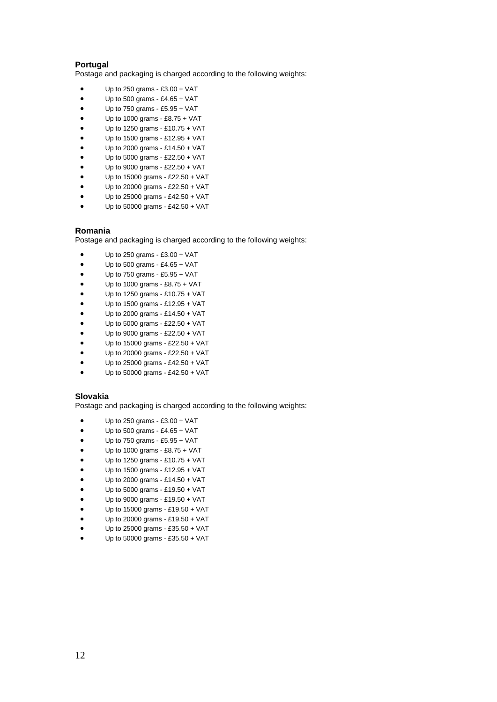## **Portugal**

Postage and packaging is charged according to the following weights:

- Up to 250 grams £3.00 + VAT
- $\bullet$  Up to 500 grams £4.65 + VAT
- Up to 750 grams £5.95 + VAT
- Up to 1000 grams £8.75 + VAT
- Up to 1250 grams £10.75 + VAT
- Up to 1500 grams £12.95 + VAT
- Up to 2000 grams £14.50 + VAT
- Up to 5000 grams £22.50 + VAT
- Up to 9000 grams £22.50 + VAT
- Up to 15000 grams £22.50 + VAT
- Up to 20000 grams £22.50 + VAT
- $\bullet$  Up to 25000 grams £42.50 + VAT
- Up to 50000 grams £42.50 + VAT

#### **Romania**

Postage and packaging is charged according to the following weights:

- Up to 250 grams £3.00 + VAT
- Up to 500 grams £4.65 + VAT
- Up to 750 grams £5.95 + VAT
- Up to 1000 grams £8.75 + VAT
- Up to 1250 grams £10.75 + VAT
- Up to 1500 grams £12.95 + VAT
- Up to 2000 grams £14.50 + VAT
- Up to 5000 grams £22.50 + VAT
- Up to 9000 grams £22.50 + VAT
- Up to 15000 grams £22.50 + VAT
- Up to 20000 grams £22.50 + VAT
- Up to 25000 grams £42.50 + VAT
- Up to 50000 grams £42.50 + VAT

## **Slovakia**

- $\bullet$  Up to 250 grams £3.00 + VAT
- $\bullet$  Up to 500 grams £4.65 + VAT
- $\bullet$  Up to 750 grams £5.95 + VAT
- Up to 1000 grams £8.75 + VAT
- Up to 1250 grams £10.75 + VAT
- Up to 1500 grams £12.95 + VAT
- Up to 2000 grams £14.50 + VAT
- Up to 5000 grams £19.50 + VAT
- Up to 9000 grams £19.50 + VAT
- Up to 15000 grams £19.50 + VAT
- Up to 20000 grams £19.50 + VAT
- Up to 25000 grams £35.50 + VAT
- Up to 50000 grams £35.50 + VAT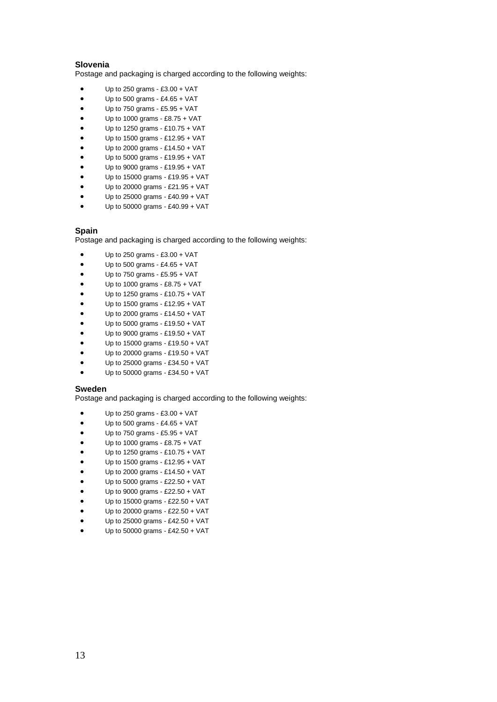## **Slovenia**

Postage and packaging is charged according to the following weights:

- Up to 250 grams £3.00 + VAT
- $\bullet$  Up to 500 grams £4.65 + VAT
- Up to 750 grams £5.95 + VAT
- $\bullet$  Up to 1000 grams £8.75 + VAT
- Up to 1250 grams £10.75 + VAT
- Up to 1500 grams £12.95 + VAT
- Up to 2000 grams £14.50 + VAT
- Up to 5000 grams £19.95 + VAT
- Up to 9000 grams £19.95 + VAT
- Up to 15000 grams £19.95 + VAT
- Up to 20000 grams £21.95 + VAT
- Up to 25000 grams £40.99 + VAT
- Up to 50000 grams £40.99 + VAT

## **Spain**

Postage and packaging is charged according to the following weights:

- Up to 250 grams £3.00 + VAT
- Up to 500 grams £4.65 + VAT
- Up to 750 grams £5.95 + VAT
- Up to 1000 grams £8.75 + VAT
- Up to 1250 grams £10.75 + VAT
- Up to 1500 grams £12.95 + VAT
- Up to 2000 grams £14.50 + VAT
- Up to 5000 grams £19.50 + VAT
- Up to 9000 grams £19.50 + VAT
- Up to 15000 grams £19.50 + VAT
- Up to 20000 grams £19.50 + VAT
- Up to 25000 grams £34.50 + VAT
- Up to 50000 grams £34.50 + VAT

#### **Sweden**

- $\bullet$  Up to 250 grams £3.00 + VAT
- Up to 500 grams £4.65 + VAT
- Up to 750 grams £5.95 + VAT
- Up to 1000 grams £8.75 + VAT
- Up to 1250 grams £10.75 + VAT
- Up to 1500 grams £12.95 + VAT
- Up to 2000 grams £14.50 + VAT
- Up to 5000 grams £22.50 + VAT
- Up to 9000 grams £22.50 + VAT
- Up to 15000 grams £22.50 + VAT
- Up to 20000 grams £22.50 + VAT
- Up to 25000 grams £42.50 + VAT
- Up to 50000 grams £42.50 + VAT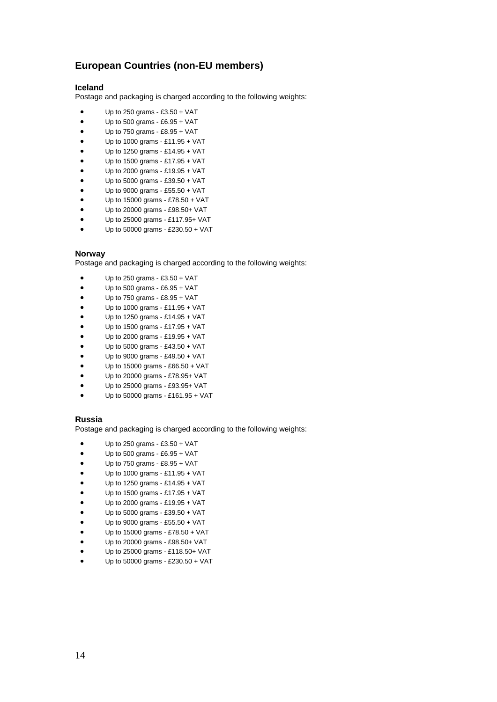# **European Countries (non-EU members)**

## **Iceland**

Postage and packaging is charged according to the following weights:

- Up to 250 grams £3.50 + VAT
- $\bullet$  Up to 500 grams £6.95 + VAT
- $\bullet$  Up to 750 grams £8.95 + VAT
- $\bullet$  Up to 1000 grams £11.95 + VAT
- Up to 1250 grams £14.95 + VAT
- Up to 1500 grams £17.95 + VAT
- Up to 2000 grams £19.95 + VAT
- Up to 5000 grams £39.50 + VAT
- Up to 9000 grams £55.50 + VAT
- Up to 15000 grams £78.50 + VAT
- Up to 20000 grams £98.50+ VAT
- Up to 25000 grams £117.95+ VAT
- Up to 50000 grams £230.50 + VAT

## **Norway**

Postage and packaging is charged according to the following weights:

- Up to 250 grams £3.50 + VAT
- $\bullet$  Up to 500 grams £6.95 + VAT
- $\bullet$  Up to 750 grams £8.95 + VAT
- Up to 1000 grams £11.95 + VAT
- Up to 1250 grams £14.95 + VAT
- Up to 1500 grams £17.95 + VAT
- Up to 2000 grams £19.95 + VAT
- Up to 5000 grams £43.50 + VAT
- Up to 9000 grams £49.50 + VAT
- Up to 15000 grams £66.50 + VAT
- Up to 20000 grams £78.95+ VAT
- Up to 25000 grams £93.95+ VAT
- Up to 50000 grams £161.95 + VAT

#### **Russia**

- $\bullet$  Up to 250 grams £3.50 + VAT
- $\bullet$  Up to 500 grams £6.95 + VAT
- $\bullet$  Up to 750 grams £8.95 + VAT
- Up to 1000 grams £11.95 + VAT
- Up to 1250 grams £14.95 + VAT
- Up to 1500 grams £17.95 + VAT
- Up to 2000 grams £19.95 + VAT
- Up to 5000 grams £39.50 + VAT
- Up to 9000 grams £55.50 + VAT
- Up to 15000 grams £78.50 + VAT
- Up to 20000 grams £98.50+ VAT
- Up to 25000 grams £118.50+ VAT
- Up to 50000 grams £230.50 + VAT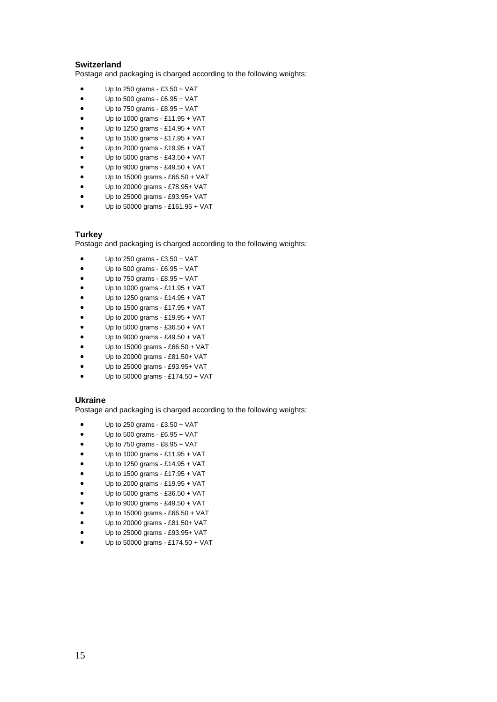## **Switzerland**

Postage and packaging is charged according to the following weights:

- Up to 250 grams  $£3.50 + VAT$
- $\bullet$  Up to 500 grams £6.95 + VAT
- Up to 750 grams £8.95 + VAT
- Up to 1000 grams £11.95 + VAT
- Up to 1250 grams £14.95 + VAT
- Up to 1500 grams £17.95 + VAT
- Up to 2000 grams £19.95 + VAT
- Up to 5000 grams £43.50 + VAT
- Up to 9000 grams £49.50 + VAT
- Up to 15000 grams £66.50 + VAT
- Up to 20000 grams £78.95+ VAT
- $\bullet$  Up to 25000 grams £93.95+ VAT
- Up to 50000 grams £161.95 + VAT

## **Turkey**

Postage and packaging is charged according to the following weights:

- $\bullet$  Up to 250 grams £3.50 + VAT
- Up to 500 grams £6.95 + VAT
- $\bullet$  Up to 750 grams £8.95 + VAT
- Up to 1000 grams £11.95 + VAT
- Up to 1250 grams £14.95 + VAT
- Up to 1500 grams £17.95 + VAT
- Up to 2000 grams £19.95 + VAT
- Up to 5000 grams £36.50 + VAT
- Up to 9000 grams £49.50 + VAT
- Up to 15000 grams £66.50 + VAT
- Up to 20000 grams £81.50+ VAT
- Up to 25000 grams £93.95+ VAT
- Up to 50000 grams £174.50 + VAT

#### **Ukraine**

- $\bullet$  Up to 250 grams £3.50 + VAT
- $\bullet$  Up to 500 grams £6.95 + VAT
- $\bullet$  Up to 750 grams £8.95 + VAT
- Up to 1000 grams £11.95 + VAT
- Up to 1250 grams £14.95 + VAT
- Up to 1500 grams £17.95 + VAT
- Up to 2000 grams £19.95 + VAT
- Up to 5000 grams £36.50 + VAT
- Up to 9000 grams £49.50 + VAT
- Up to 15000 grams £66.50 + VAT
- Up to 20000 grams £81.50+ VAT
- Up to 25000 grams £93.95+ VAT
- Up to 50000 grams £174.50 + VAT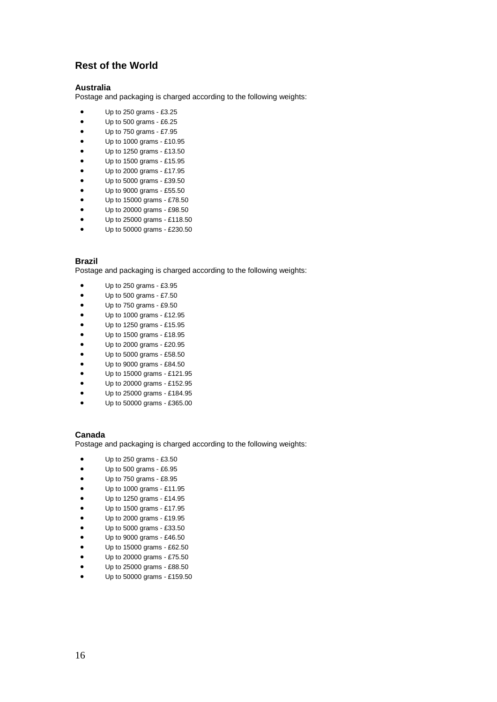# **Rest of the World**

## **Australia**

Postage and packaging is charged according to the following weights:

- Up to 250 grams £3.25
- Up to 500 grams £6.25
- Up to 750 grams £7.95
- Up to 1000 grams £10.95
- Up to 1250 grams £13.50
- Up to 1500 grams £15.95
- Up to 2000 grams £17.95
- Up to 5000 grams £39.50
- Up to 9000 grams £55.50
- Up to 15000 grams £78.50
- Up to 20000 grams £98.50
- Up to 25000 grams £118.50
- Up to 50000 grams £230.50

#### **Brazil**

Postage and packaging is charged according to the following weights:

- Up to 250 grams £3.95
- Up to 500 grams £7.50
- Up to 750 grams £9.50
- Up to 1000 grams £12.95
- Up to 1250 grams £15.95
- Up to 1500 grams £18.95
- Up to 2000 grams £20.95
- Up to 5000 grams £58.50
- Up to 9000 grams £84.50
- Up to 15000 grams £121.95
- Up to 20000 grams £152.95
- Up to 25000 grams £184.95
- Up to 50000 grams £365.00

#### **Canada**

- Up to 250 grams £3.50
- Up to 500 grams £6.95
- Up to 750 grams £8.95
- Up to 1000 grams £11.95
- Up to 1250 grams £14.95
- Up to 1500 grams £17.95
- Up to 2000 grams £19.95
- Up to 5000 grams £33.50
- Up to 9000 grams £46.50
- Up to 15000 grams £62.50
- Up to 20000 grams £75.50
- Up to 25000 grams £88.50
- Up to 50000 grams £159.50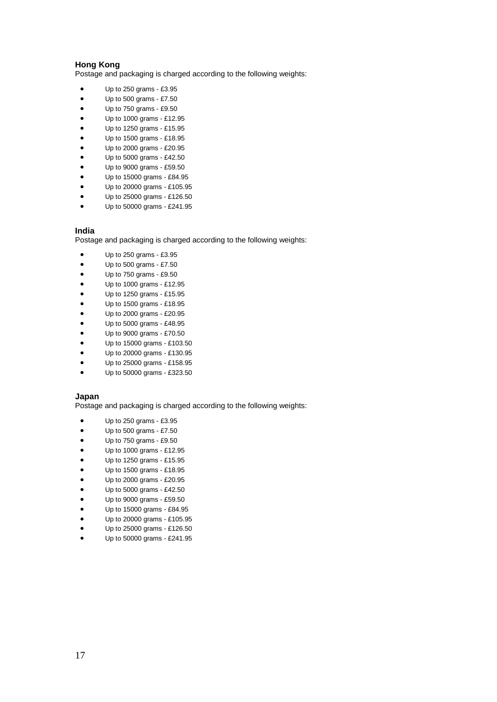## **Hong Kong**

Postage and packaging is charged according to the following weights:

- Up to 250 grams £3.95
- $\bullet$  Up to 500 grams £7.50
- Up to 750 grams £9.50
- Up to 1000 grams £12.95
- Up to 1250 grams £15.95
- Up to 1500 grams £18.95
- Up to 2000 grams £20.95
- Up to 5000 grams £42.50
- Up to 9000 grams £59.50
- Up to 15000 grams £84.95
- Up to 20000 grams £105.95
- Up to 25000 grams £126.50
- Up to 50000 grams £241.95

#### **India**

Postage and packaging is charged according to the following weights:

- Up to 250 grams £3.95
- Up to 500 grams £7.50
- Up to 750 grams £9.50
- Up to 1000 grams £12.95
- Up to 1250 grams £15.95
- Up to 1500 grams £18.95
- Up to 2000 grams £20.95
- Up to 5000 grams £48.95
- Up to 9000 grams £70.50
- Up to 15000 grams £103.50
- Up to 20000 grams £130.95
- Up to 25000 grams £158.95
- Up to 50000 grams £323.50

#### **Japan**

- Up to 250 grams £3.95
- $\bullet$  Up to 500 grams £7.50
- Up to 750 grams £9.50
- Up to 1000 grams £12.95
- Up to 1250 grams £15.95
- Up to 1500 grams £18.95
- Up to 2000 grams £20.95
- Up to 5000 grams £42.50
- Up to 9000 grams £59.50
- Up to 15000 grams £84.95
- Up to 20000 grams £105.95
- Up to 25000 grams £126.50
- Up to 50000 grams £241.95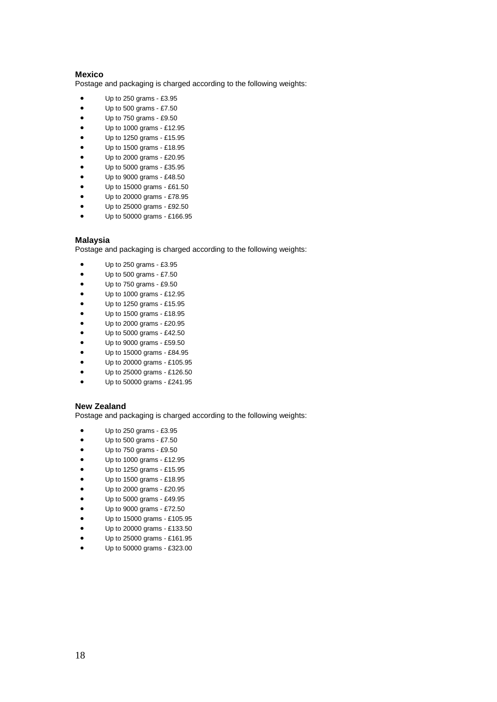#### **Mexico**

Postage and packaging is charged according to the following weights:

- Up to 250 grams £3.95
- Up to 500 grams £7.50
- Up to 750 grams £9.50
- Up to 1000 grams £12.95
- Up to 1250 grams £15.95
- Up to 1500 grams £18.95
- Up to 2000 grams £20.95
- Up to 5000 grams £35.95
- Up to 9000 grams £48.50
- Up to 15000 grams £61.50
- Up to 20000 grams £78.95
- Up to 25000 grams £92.50
- Up to 50000 grams £166.95

#### **Malaysia**

Postage and packaging is charged according to the following weights:

- Up to 250 grams £3.95
- $\bullet$  Up to 500 grams £7.50
- Up to 750 grams £9.50
- Up to 1000 grams £12.95
- Up to 1250 grams £15.95
- Up to 1500 grams £18.95
- Up to 2000 grams £20.95
- Up to 5000 grams £42.50
- Up to 9000 grams £59.50
- Up to 15000 grams £84.95
- Up to 20000 grams £105.95
- Up to 25000 grams £126.50
- Up to 50000 grams £241.95

## **New Zealand**

- Up to 250 grams £3.95
- Up to 500 grams £7.50
- Up to 750 grams £9.50
- Up to 1000 grams £12.95
- Up to 1250 grams £15.95
- Up to 1500 grams £18.95
- Up to 2000 grams £20.95
- Up to 5000 grams £49.95
- Up to 9000 grams £72.50
- Up to 15000 grams £105.95
- Up to 20000 grams £133.50
- Up to 25000 grams £161.95
- Up to 50000 grams £323.00